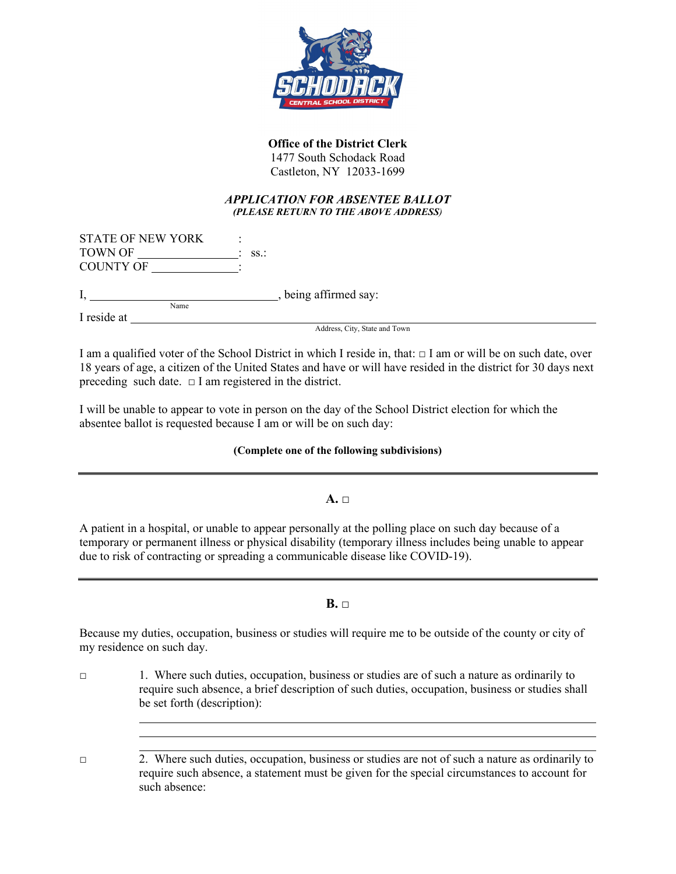

# **Office of the District Clerk**

1477 South Schodack Road Castleton, NY 12033-1699

#### *APPLICATION FOR ABSENTEE BALLOT (PLEASE RETURN TO THE ABOVE ADDRESS)*

| <b>STATE OF NEW YORK</b> |  |                  |
|--------------------------|--|------------------|
| TOWN OF                  |  | $\therefore$ SS. |
| <b>COUNTY OF</b>         |  |                  |

I,  $\frac{1}{Name}$ , being affirmed say:

I reside at

Address, City, State and Town

I am a qualified voter of the School District in which I reside in, that:  $\Box$  I am or will be on such date, over 18 years of age, a citizen of the United States and have or will have resided in the district for 30 days next preceding such date.  $\Box$  I am registered in the district.

I will be unable to appear to vote in person on the day of the School District election for which the absentee ballot is requested because I am or will be on such day:

### **(Complete one of the following subdivisions)**

**A. □**

A patient in a hospital, or unable to appear personally at the polling place on such day because of a temporary or permanent illness or physical disability (temporary illness includes being unable to appear due to risk of contracting or spreading a communicable disease like COVID-19).

**B. □**

Because my duties, occupation, business or studies will require me to be outside of the county or city of my residence on such day.

□ 1. Where such duties, occupation, business or studies are of such a nature as ordinarily to require such absence, a brief description of such duties, occupation, business or studies shall be set forth (description):

<sup>□</sup> 2. Where such duties, occupation, business or studies are not of such a nature as ordinarily to require such absence, a statement must be given for the special circumstances to account for such absence: